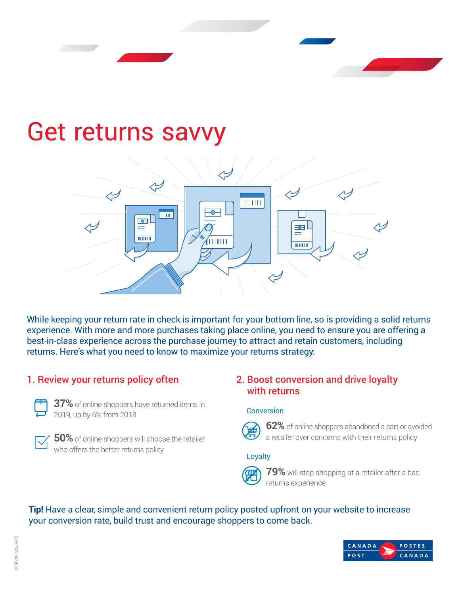# Get returns savvy



While keeping your return rate in check is important for your bottom line, so is providing a solid returns experience. With more and more purchases taking place online, you need to ensure you are offering a best-in-class experience across the purchase journey to attract and retain customers, including returns. Here's what you need to know to maximize your returns strategy:

# 1. Review your returns policy often



**37%** of online shoppers have returned items in 2019, up by 6% from 2018



**50%** of online shoppers will choose the retailer who offers the better returns policy

### 2. Boost conversion and drive loyalty with returns

#### Conversion



**62%** of online shoppers abandoned a cart or avoided a retailer over concerns with their returns policy

#### Loyalty



**79%** will stop shopping at a retailer after a bad returns experience

**Tip!** Have a clear, simple and convenient return policy posted upfront on your website to increase your conversion rate, build trust and encourage shoppers to come back.